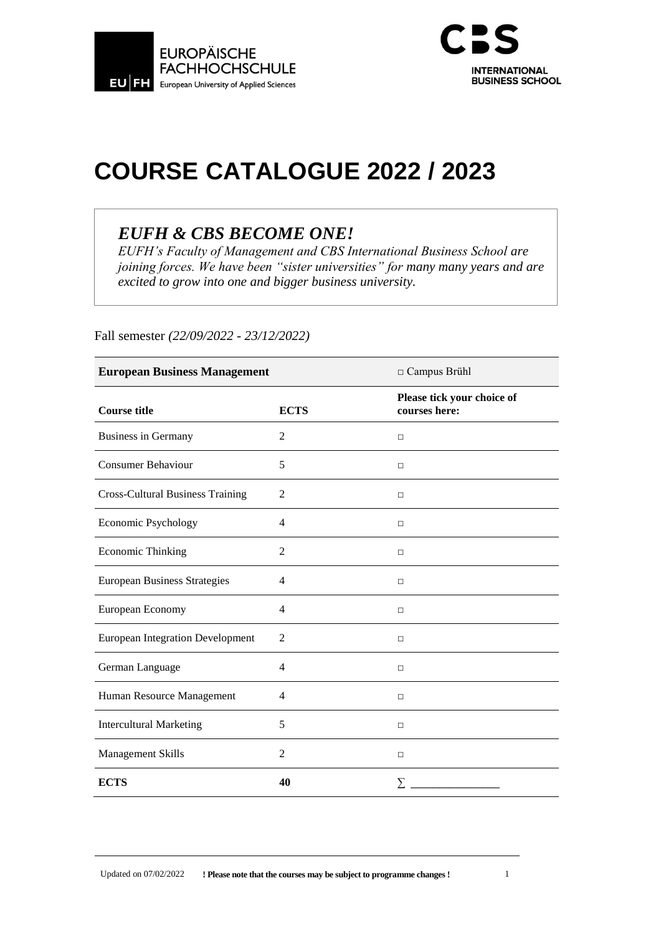



# **COURSE CATALOGUE 2022 / 2023**

# *EUFH & CBS BECOME ONE!*

*EUFH's Faculty of Management and CBS International Business School are joining forces. We have been "sister universities" for many many years and are excited to grow into one and bigger business university.*

| <b>European Business Management</b>     |                | □ Campus Brühl                              |
|-----------------------------------------|----------------|---------------------------------------------|
| <b>Course title</b>                     | <b>ECTS</b>    | Please tick your choice of<br>courses here: |
| <b>Business in Germany</b>              | 2              | $\Box$                                      |
| <b>Consumer Behaviour</b>               | 5              | $\Box$                                      |
| <b>Cross-Cultural Business Training</b> | $\overline{2}$ | $\Box$                                      |
| Economic Psychology                     | $\overline{4}$ | $\Box$                                      |
| <b>Economic Thinking</b>                | $\overline{2}$ | $\Box$                                      |
| <b>European Business Strategies</b>     | $\overline{4}$ | $\Box$                                      |
| European Economy                        | $\overline{4}$ | $\Box$                                      |
| <b>European Integration Development</b> | $\overline{c}$ | $\Box$                                      |
| German Language                         | $\overline{4}$ | П                                           |
| Human Resource Management               | $\overline{4}$ | $\Box$                                      |
| <b>Intercultural Marketing</b>          | 5              | $\Box$                                      |
| Management Skills                       | $\overline{2}$ | $\Box$                                      |
| <b>ECTS</b>                             | 40             | $\sum$                                      |

Fall semester *(22/09/2022 - 23/12/2022)*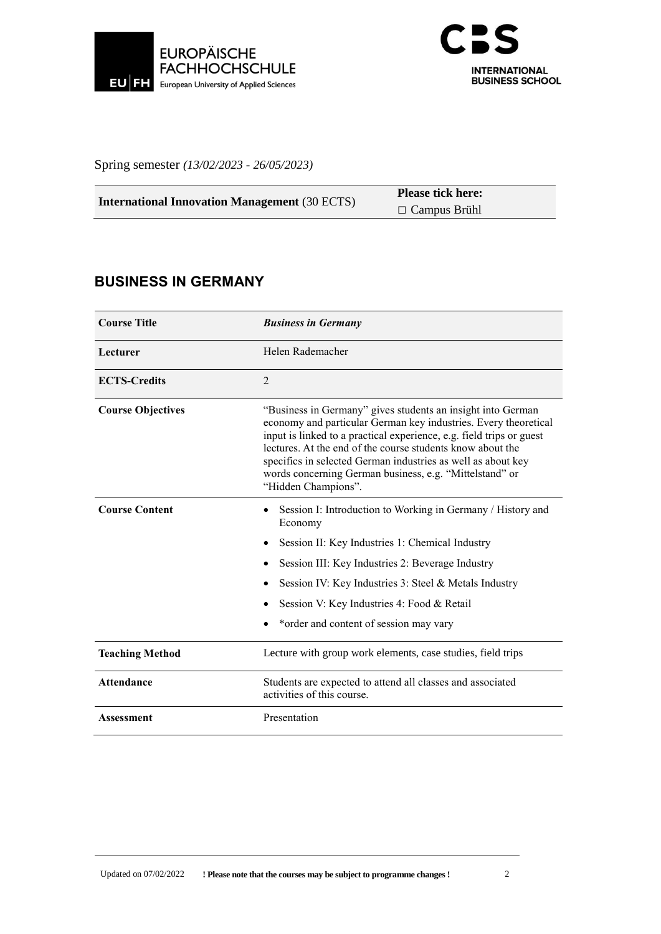



Spring semester *(13/02/2023 - 26/05/2023)*

| <b>International Innovation Management</b> (30 ECTS) | <b>Please tick here:</b> |
|------------------------------------------------------|--------------------------|
|                                                      | $\Box$ Campus Brühl      |

#### **BUSINESS IN GERMANY**

| <b>Course Title</b>      | <b>Business in Germany</b>                                                                                                                                                                                                                                                                                                                                                                                             |
|--------------------------|------------------------------------------------------------------------------------------------------------------------------------------------------------------------------------------------------------------------------------------------------------------------------------------------------------------------------------------------------------------------------------------------------------------------|
| Lecturer                 | Helen Rademacher                                                                                                                                                                                                                                                                                                                                                                                                       |
| <b>ECTS-Credits</b>      | $\overline{2}$                                                                                                                                                                                                                                                                                                                                                                                                         |
| <b>Course Objectives</b> | "Business in Germany" gives students an insight into German<br>economy and particular German key industries. Every theoretical<br>input is linked to a practical experience, e.g. field trips or guest<br>lectures. At the end of the course students know about the<br>specifics in selected German industries as well as about key<br>words concerning German business, e.g. "Mittelstand" or<br>"Hidden Champions". |
| <b>Course Content</b>    | Session I: Introduction to Working in Germany / History and<br>Economy<br>Session II: Key Industries 1: Chemical Industry<br>Session III: Key Industries 2: Beverage Industry<br>٠<br>Session IV: Key Industries 3: Steel & Metals Industry<br>Session V: Key Industries 4: Food & Retail<br>*order and content of session may vary                                                                                    |
| <b>Teaching Method</b>   | Lecture with group work elements, case studies, field trips                                                                                                                                                                                                                                                                                                                                                            |
| <b>Attendance</b>        | Students are expected to attend all classes and associated<br>activities of this course.                                                                                                                                                                                                                                                                                                                               |
| <b>Assessment</b>        | Presentation                                                                                                                                                                                                                                                                                                                                                                                                           |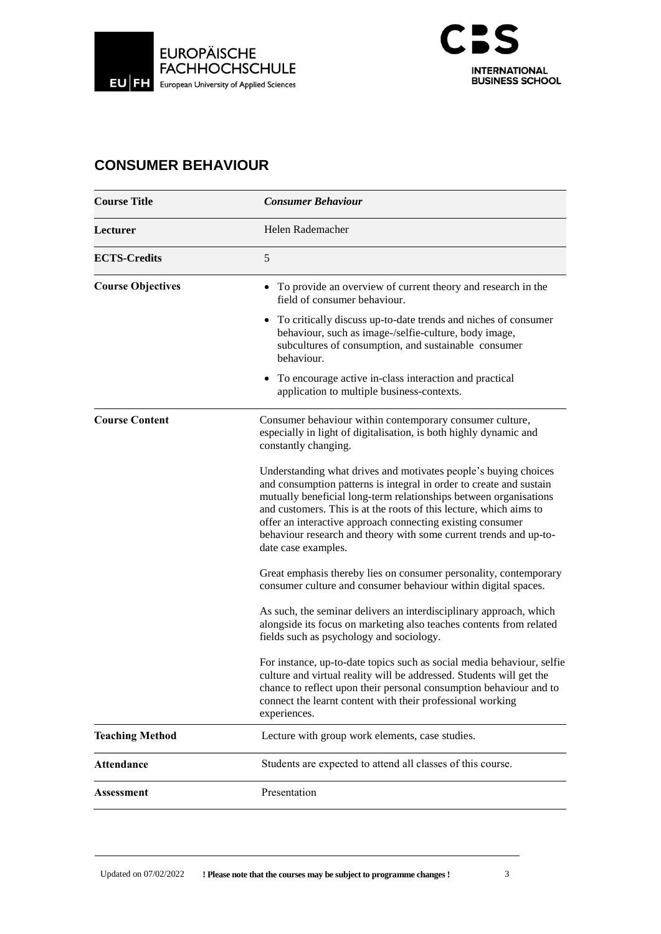



#### **CONSUMER BEHAVIOUR**

| <b>Course Title</b>      | <b>Consumer Behaviour</b>                                                                                                                                                                                                                                                                                                                                                                                                                   |
|--------------------------|---------------------------------------------------------------------------------------------------------------------------------------------------------------------------------------------------------------------------------------------------------------------------------------------------------------------------------------------------------------------------------------------------------------------------------------------|
| Lecturer                 | Helen Rademacher                                                                                                                                                                                                                                                                                                                                                                                                                            |
| <b>ECTS-Credits</b>      | 5                                                                                                                                                                                                                                                                                                                                                                                                                                           |
| <b>Course Objectives</b> | • To provide an overview of current theory and research in the<br>field of consumer behaviour.                                                                                                                                                                                                                                                                                                                                              |
|                          | To critically discuss up-to-date trends and niches of consumer<br>behaviour, such as image-/selfie-culture, body image,<br>subcultures of consumption, and sustainable consumer<br>behaviour.                                                                                                                                                                                                                                               |
|                          | • To encourage active in-class interaction and practical<br>application to multiple business-contexts.                                                                                                                                                                                                                                                                                                                                      |
| <b>Course Content</b>    | Consumer behaviour within contemporary consumer culture,<br>especially in light of digitalisation, is both highly dynamic and<br>constantly changing.                                                                                                                                                                                                                                                                                       |
|                          | Understanding what drives and motivates people's buying choices<br>and consumption patterns is integral in order to create and sustain<br>mutually beneficial long-term relationships between organisations<br>and customers. This is at the roots of this lecture, which aims to<br>offer an interactive approach connecting existing consumer<br>behaviour research and theory with some current trends and up-to-<br>date case examples. |
|                          | Great emphasis thereby lies on consumer personality, contemporary<br>consumer culture and consumer behaviour within digital spaces.                                                                                                                                                                                                                                                                                                         |
|                          | As such, the seminar delivers an interdisciplinary approach, which<br>alongside its focus on marketing also teaches contents from related<br>fields such as psychology and sociology.                                                                                                                                                                                                                                                       |
|                          | For instance, up-to-date topics such as social media behaviour, selfie<br>culture and virtual reality will be addressed. Students will get the<br>chance to reflect upon their personal consumption behaviour and to<br>connect the learnt content with their professional working<br>experiences.                                                                                                                                          |
| <b>Teaching Method</b>   | Lecture with group work elements, case studies.                                                                                                                                                                                                                                                                                                                                                                                             |
| <b>Attendance</b>        | Students are expected to attend all classes of this course.                                                                                                                                                                                                                                                                                                                                                                                 |
| <b>Assessment</b>        | Presentation                                                                                                                                                                                                                                                                                                                                                                                                                                |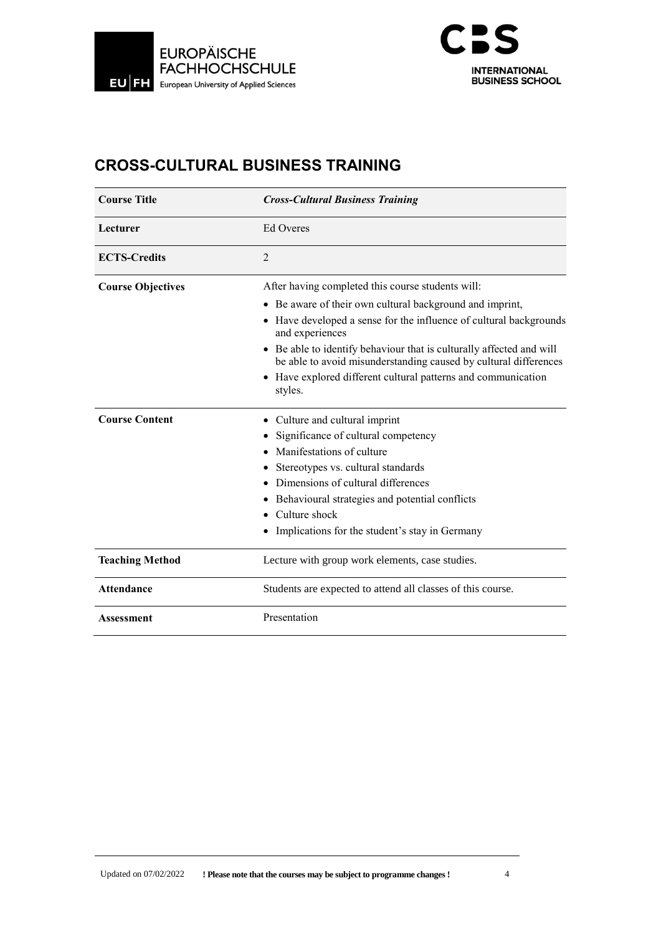



# **CROSS-CULTURAL BUSINESS TRAINING**

| <b>Course Title</b>      | <b>Cross-Cultural Business Training</b>                                                                                                             |
|--------------------------|-----------------------------------------------------------------------------------------------------------------------------------------------------|
| Lecturer                 | Ed Overes                                                                                                                                           |
| <b>ECTS-Credits</b>      | $\overline{2}$                                                                                                                                      |
| <b>Course Objectives</b> | After having completed this course students will:                                                                                                   |
|                          | • Be aware of their own cultural background and imprint,                                                                                            |
|                          | • Have developed a sense for the influence of cultural backgrounds<br>and experiences                                                               |
|                          | Be able to identify behaviour that is culturally affected and will<br>$\bullet$<br>be able to avoid misunderstanding caused by cultural differences |
|                          | • Have explored different cultural patterns and communication<br>styles.                                                                            |
| <b>Course Content</b>    | Culture and cultural imprint                                                                                                                        |
|                          | Significance of cultural competency                                                                                                                 |
|                          | Manifestations of culture                                                                                                                           |
|                          | Stereotypes vs. cultural standards                                                                                                                  |
|                          | Dimensions of cultural differences                                                                                                                  |
|                          | Behavioural strategies and potential conflicts                                                                                                      |
|                          | Culture shock                                                                                                                                       |
|                          | Implications for the student's stay in Germany                                                                                                      |
| <b>Teaching Method</b>   | Lecture with group work elements, case studies.                                                                                                     |
| <b>Attendance</b>        | Students are expected to attend all classes of this course.                                                                                         |
| <b>Assessment</b>        | Presentation                                                                                                                                        |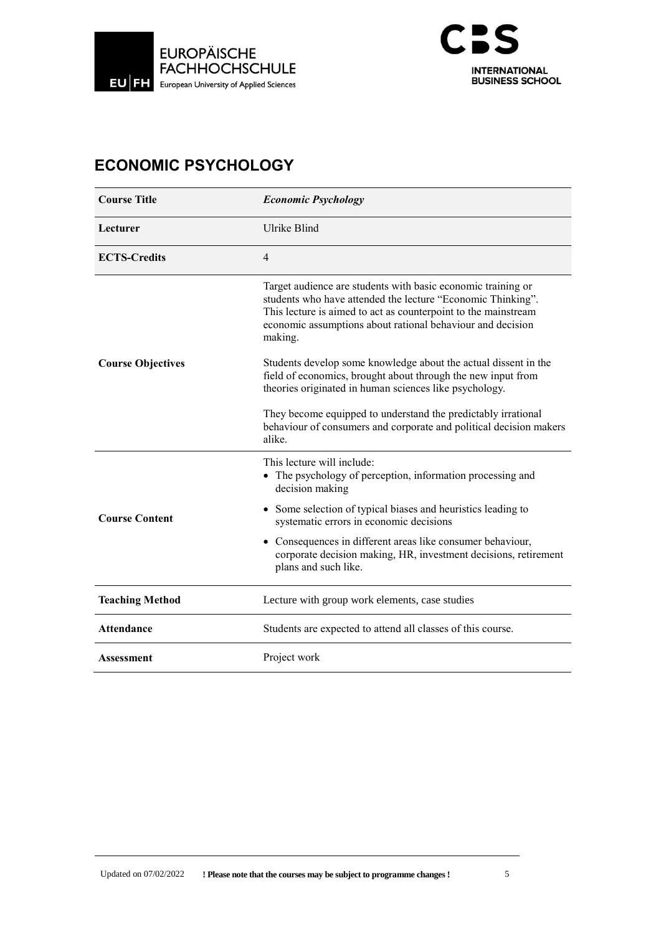



# **ECONOMIC PSYCHOLOGY**

| <b>Course Title</b>      | <b>Economic Psychology</b>                                                                                                                                                                                                                                             |
|--------------------------|------------------------------------------------------------------------------------------------------------------------------------------------------------------------------------------------------------------------------------------------------------------------|
| Lecturer                 | Ulrike Blind                                                                                                                                                                                                                                                           |
| <b>ECTS-Credits</b>      | $\overline{4}$                                                                                                                                                                                                                                                         |
|                          | Target audience are students with basic economic training or<br>students who have attended the lecture "Economic Thinking".<br>This lecture is aimed to act as counterpoint to the mainstream<br>economic assumptions about rational behaviour and decision<br>making. |
| <b>Course Objectives</b> | Students develop some knowledge about the actual dissent in the<br>field of economics, brought about through the new input from<br>theories originated in human sciences like psychology.                                                                              |
|                          | They become equipped to understand the predictably irrational<br>behaviour of consumers and corporate and political decision makers<br>alike.                                                                                                                          |
|                          | This lecture will include:<br>The psychology of perception, information processing and<br>decision making                                                                                                                                                              |
| <b>Course Content</b>    | • Some selection of typical biases and heuristics leading to<br>systematic errors in economic decisions                                                                                                                                                                |
|                          | Consequences in different areas like consumer behaviour,<br>$\bullet$<br>corporate decision making, HR, investment decisions, retirement<br>plans and such like.                                                                                                       |
| <b>Teaching Method</b>   | Lecture with group work elements, case studies                                                                                                                                                                                                                         |
| <b>Attendance</b>        | Students are expected to attend all classes of this course.                                                                                                                                                                                                            |
| <b>Assessment</b>        | Project work                                                                                                                                                                                                                                                           |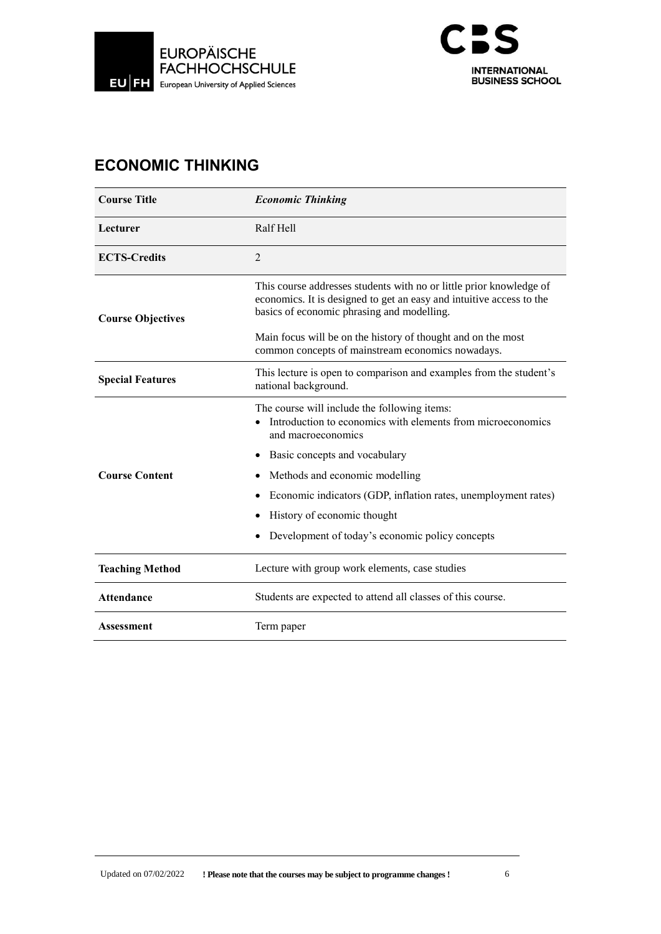



# **ECONOMIC THINKING**

| <b>Course Title</b>      | <b>Economic Thinking</b>                                                                                                                                                                  |
|--------------------------|-------------------------------------------------------------------------------------------------------------------------------------------------------------------------------------------|
| Lecturer                 | Ralf Hell                                                                                                                                                                                 |
| <b>ECTS-Credits</b>      | $\overline{2}$                                                                                                                                                                            |
| <b>Course Objectives</b> | This course addresses students with no or little prior knowledge of<br>economics. It is designed to get an easy and intuitive access to the<br>basics of economic phrasing and modelling. |
|                          | Main focus will be on the history of thought and on the most<br>common concepts of mainstream economics nowadays.                                                                         |
| <b>Special Features</b>  | This lecture is open to comparison and examples from the student's<br>national background.                                                                                                |
|                          | The course will include the following items:<br>Introduction to economics with elements from microeconomics<br>and macroeconomics                                                         |
|                          | Basic concepts and vocabulary                                                                                                                                                             |
| <b>Course Content</b>    | Methods and economic modelling                                                                                                                                                            |
|                          | Economic indicators (GDP, inflation rates, unemployment rates)                                                                                                                            |
|                          | History of economic thought                                                                                                                                                               |
|                          | Development of today's economic policy concepts                                                                                                                                           |
| <b>Teaching Method</b>   | Lecture with group work elements, case studies                                                                                                                                            |
| <b>Attendance</b>        | Students are expected to attend all classes of this course.                                                                                                                               |
| <b>Assessment</b>        | Term paper                                                                                                                                                                                |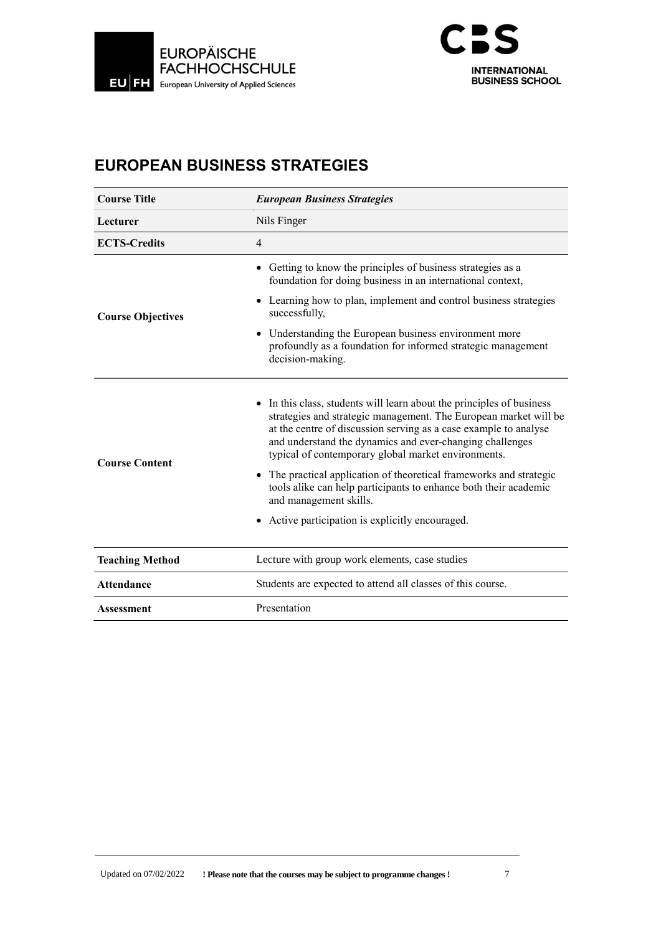



# **EUROPEAN BUSINESS STRATEGIES**

| <b>Course Title</b>      | <b>European Business Strategies</b>                                                                                                                                                                                                                                                                                                                                                                                                                                                                 |  |
|--------------------------|-----------------------------------------------------------------------------------------------------------------------------------------------------------------------------------------------------------------------------------------------------------------------------------------------------------------------------------------------------------------------------------------------------------------------------------------------------------------------------------------------------|--|
| Lecturer                 | Nils Finger                                                                                                                                                                                                                                                                                                                                                                                                                                                                                         |  |
| <b>ECTS-Credits</b>      | $\overline{4}$                                                                                                                                                                                                                                                                                                                                                                                                                                                                                      |  |
|                          | • Getting to know the principles of business strategies as a<br>foundation for doing business in an international context,                                                                                                                                                                                                                                                                                                                                                                          |  |
| <b>Course Objectives</b> | • Learning how to plan, implement and control business strategies<br>successfully,                                                                                                                                                                                                                                                                                                                                                                                                                  |  |
|                          | Understanding the European business environment more<br>profoundly as a foundation for informed strategic management<br>decision-making.                                                                                                                                                                                                                                                                                                                                                            |  |
| <b>Course Content</b>    | • In this class, students will learn about the principles of business<br>strategies and strategic management. The European market will be<br>at the centre of discussion serving as a case example to analyse<br>and understand the dynamics and ever-changing challenges<br>typical of contemporary global market environments.<br>The practical application of theoretical frameworks and strategic<br>tools alike can help participants to enhance both their academic<br>and management skills. |  |
|                          | Active participation is explicitly encouraged.                                                                                                                                                                                                                                                                                                                                                                                                                                                      |  |
| <b>Teaching Method</b>   | Lecture with group work elements, case studies                                                                                                                                                                                                                                                                                                                                                                                                                                                      |  |
| <b>Attendance</b>        | Students are expected to attend all classes of this course.                                                                                                                                                                                                                                                                                                                                                                                                                                         |  |
| <b>Assessment</b>        | Presentation                                                                                                                                                                                                                                                                                                                                                                                                                                                                                        |  |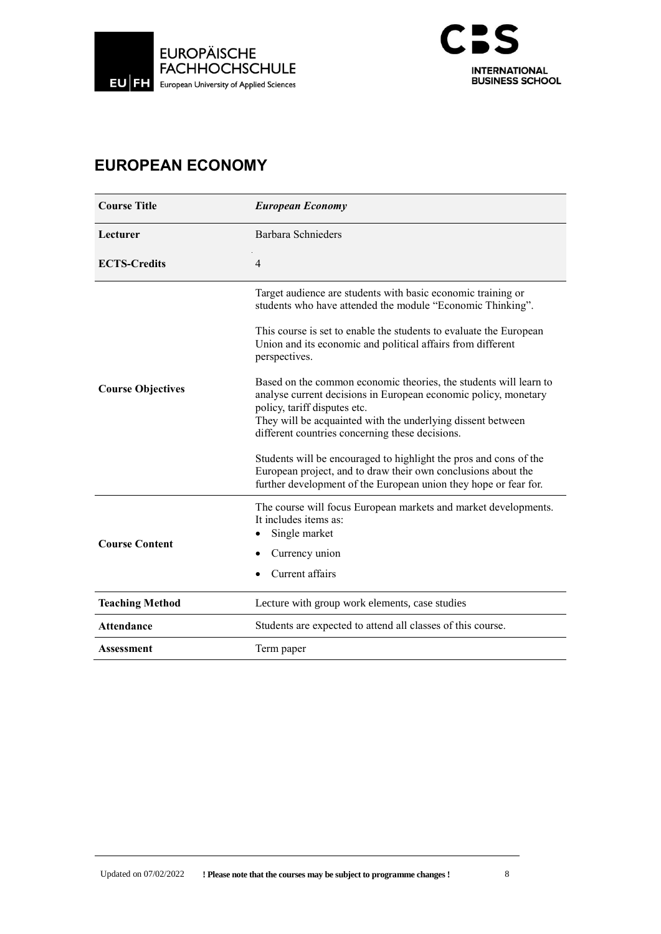



## **EUROPEAN ECONOMY**

| <b>Course Title</b>      | <b>European Economy</b>                                                                                                                                                                                                                                                                |
|--------------------------|----------------------------------------------------------------------------------------------------------------------------------------------------------------------------------------------------------------------------------------------------------------------------------------|
| Lecturer                 | Barbara Schnieders                                                                                                                                                                                                                                                                     |
| <b>ECTS-Credits</b>      | $\overline{4}$                                                                                                                                                                                                                                                                         |
|                          | Target audience are students with basic economic training or<br>students who have attended the module "Economic Thinking".                                                                                                                                                             |
|                          | This course is set to enable the students to evaluate the European<br>Union and its economic and political affairs from different<br>perspectives.                                                                                                                                     |
| <b>Course Objectives</b> | Based on the common economic theories, the students will learn to<br>analyse current decisions in European economic policy, monetary<br>policy, tariff disputes etc.<br>They will be acquainted with the underlying dissent between<br>different countries concerning these decisions. |
|                          | Students will be encouraged to highlight the pros and cons of the<br>European project, and to draw their own conclusions about the<br>further development of the European union they hope or fear for.                                                                                 |
| <b>Course Content</b>    | The course will focus European markets and market developments.<br>It includes items as:<br>Single market<br>Currency union<br>Current affairs                                                                                                                                         |
| <b>Teaching Method</b>   | Lecture with group work elements, case studies                                                                                                                                                                                                                                         |
| <b>Attendance</b>        | Students are expected to attend all classes of this course.                                                                                                                                                                                                                            |
| <b>Assessment</b>        | Term paper                                                                                                                                                                                                                                                                             |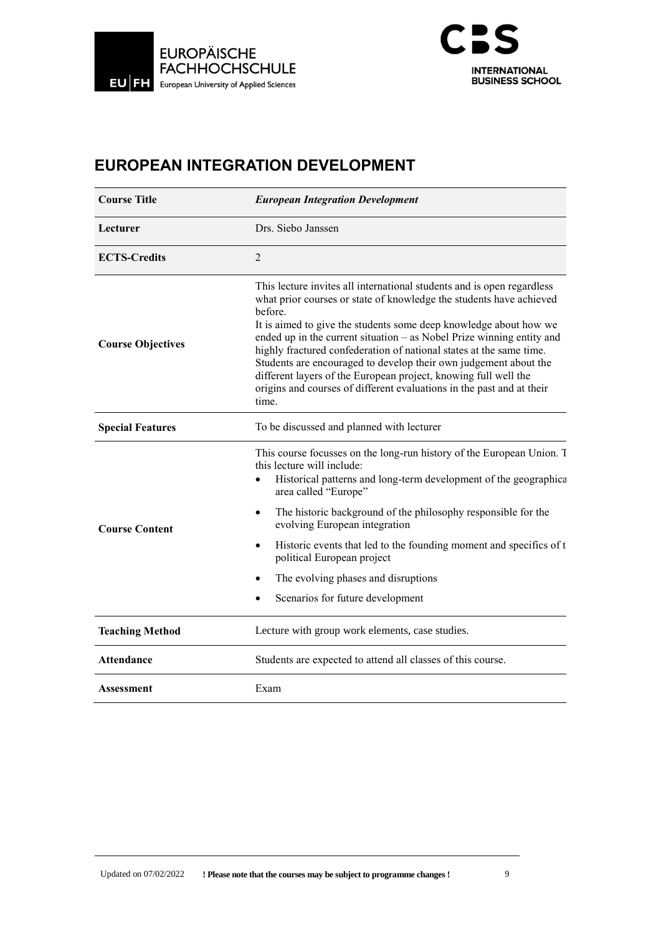



# **EUROPEAN INTEGRATION DEVELOPMENT**

| <b>Course Title</b>      | <b>European Integration Development</b>                                                                                                                                                                                                                                                                                                                                                                                                                                                                                                                                                                |  |
|--------------------------|--------------------------------------------------------------------------------------------------------------------------------------------------------------------------------------------------------------------------------------------------------------------------------------------------------------------------------------------------------------------------------------------------------------------------------------------------------------------------------------------------------------------------------------------------------------------------------------------------------|--|
| Lecturer                 | Drs. Siebo Janssen                                                                                                                                                                                                                                                                                                                                                                                                                                                                                                                                                                                     |  |
| <b>ECTS-Credits</b>      | $\overline{2}$                                                                                                                                                                                                                                                                                                                                                                                                                                                                                                                                                                                         |  |
| <b>Course Objectives</b> | This lecture invites all international students and is open regardless<br>what prior courses or state of knowledge the students have achieved<br>before.<br>It is aimed to give the students some deep knowledge about how we<br>ended up in the current situation - as Nobel Prize winning entity and<br>highly fractured confederation of national states at the same time.<br>Students are encouraged to develop their own judgement about the<br>different layers of the European project, knowing full well the<br>origins and courses of different evaluations in the past and at their<br>time. |  |
| <b>Special Features</b>  | To be discussed and planned with lecturer                                                                                                                                                                                                                                                                                                                                                                                                                                                                                                                                                              |  |
| <b>Course Content</b>    | This course focusses on the long-run history of the European Union. T<br>this lecture will include:<br>Historical patterns and long-term development of the geographica<br>area called "Europe"                                                                                                                                                                                                                                                                                                                                                                                                        |  |
|                          | The historic background of the philosophy responsible for the<br>evolving European integration                                                                                                                                                                                                                                                                                                                                                                                                                                                                                                         |  |
|                          | Historic events that led to the founding moment and specifics of t<br>$\bullet$<br>political European project                                                                                                                                                                                                                                                                                                                                                                                                                                                                                          |  |
|                          | The evolving phases and disruptions                                                                                                                                                                                                                                                                                                                                                                                                                                                                                                                                                                    |  |
|                          | Scenarios for future development                                                                                                                                                                                                                                                                                                                                                                                                                                                                                                                                                                       |  |
| <b>Teaching Method</b>   | Lecture with group work elements, case studies.                                                                                                                                                                                                                                                                                                                                                                                                                                                                                                                                                        |  |
| <b>Attendance</b>        | Students are expected to attend all classes of this course.                                                                                                                                                                                                                                                                                                                                                                                                                                                                                                                                            |  |
| Assessment               | Exam                                                                                                                                                                                                                                                                                                                                                                                                                                                                                                                                                                                                   |  |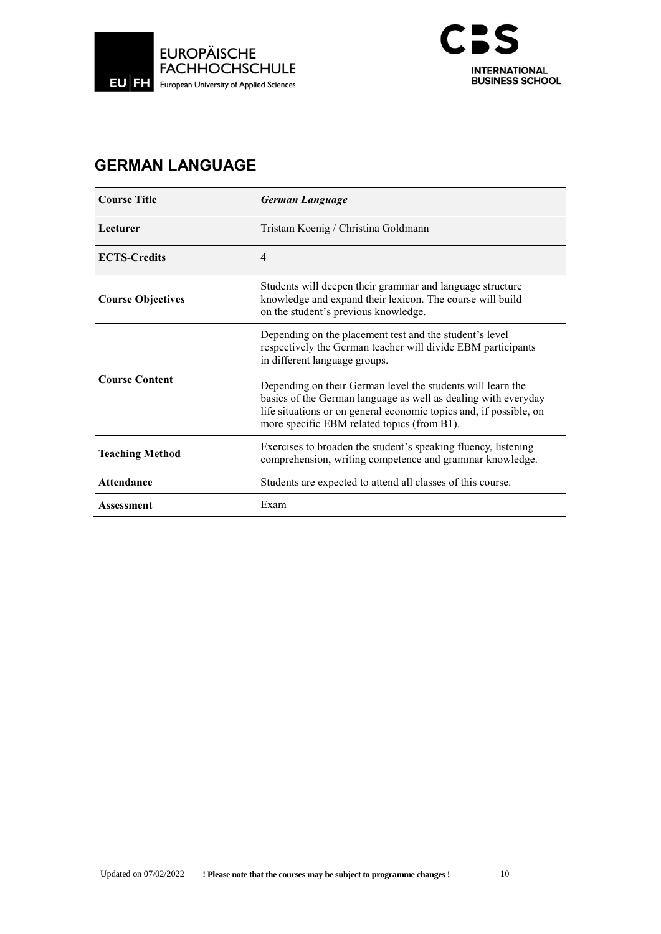



# **GERMAN LANGUAGE**

| <b>Course Title</b>      | <b>German Language</b>                                                                                                                                                                                                                             |
|--------------------------|----------------------------------------------------------------------------------------------------------------------------------------------------------------------------------------------------------------------------------------------------|
| Lecturer                 | Tristam Koenig / Christina Goldmann                                                                                                                                                                                                                |
| <b>ECTS-Credits</b>      | 4                                                                                                                                                                                                                                                  |
| <b>Course Objectives</b> | Students will deepen their grammar and language structure<br>knowledge and expand their lexicon. The course will build<br>on the student's previous knowledge.                                                                                     |
| <b>Course Content</b>    | Depending on the placement test and the student's level<br>respectively the German teacher will divide EBM participants<br>in different language groups.                                                                                           |
|                          | Depending on their German level the students will learn the<br>basics of the German language as well as dealing with everyday<br>life situations or on general economic topics and, if possible, on<br>more specific EBM related topics (from B1). |
| <b>Teaching Method</b>   | Exercises to broaden the student's speaking fluency, listening<br>comprehension, writing competence and grammar knowledge.                                                                                                                         |
| <b>Attendance</b>        | Students are expected to attend all classes of this course.                                                                                                                                                                                        |
| Assessment               | Exam                                                                                                                                                                                                                                               |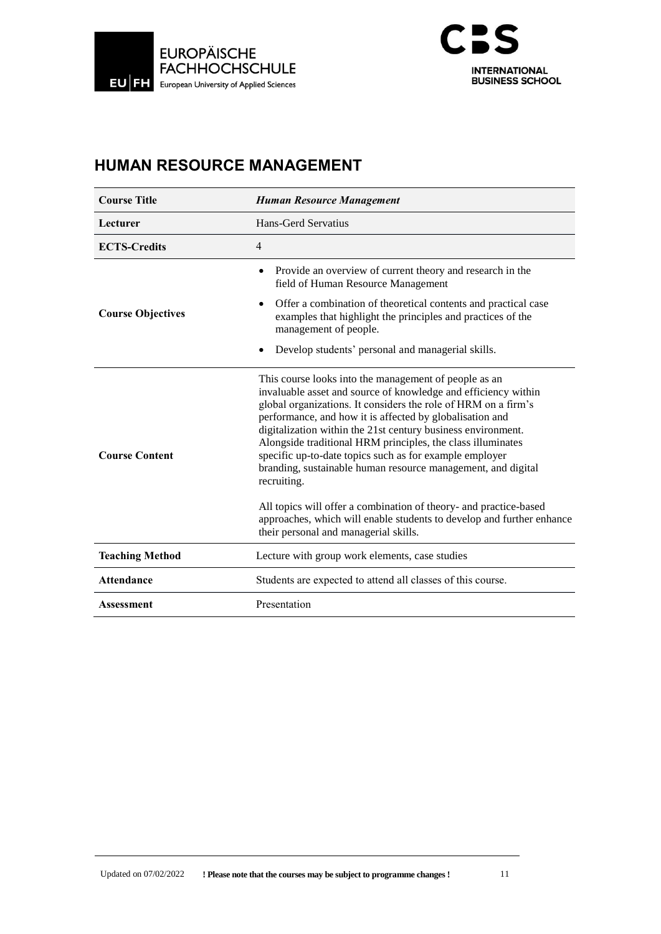



## **HUMAN RESOURCE MANAGEMENT**

| <b>Course Title</b>      | <b>Human Resource Management</b>                                                                                                                                                                                                                                                                                                                                                                                                                                                                                                                                                                                                                                                                                      |
|--------------------------|-----------------------------------------------------------------------------------------------------------------------------------------------------------------------------------------------------------------------------------------------------------------------------------------------------------------------------------------------------------------------------------------------------------------------------------------------------------------------------------------------------------------------------------------------------------------------------------------------------------------------------------------------------------------------------------------------------------------------|
| Lecturer                 | Hans-Gerd Servatius                                                                                                                                                                                                                                                                                                                                                                                                                                                                                                                                                                                                                                                                                                   |
| <b>ECTS-Credits</b>      | $\overline{4}$                                                                                                                                                                                                                                                                                                                                                                                                                                                                                                                                                                                                                                                                                                        |
|                          | Provide an overview of current theory and research in the<br>field of Human Resource Management<br>Offer a combination of theoretical contents and practical case                                                                                                                                                                                                                                                                                                                                                                                                                                                                                                                                                     |
| <b>Course Objectives</b> | examples that highlight the principles and practices of the<br>management of people.                                                                                                                                                                                                                                                                                                                                                                                                                                                                                                                                                                                                                                  |
|                          | Develop students' personal and managerial skills.                                                                                                                                                                                                                                                                                                                                                                                                                                                                                                                                                                                                                                                                     |
| <b>Course Content</b>    | This course looks into the management of people as an<br>invaluable asset and source of knowledge and efficiency within<br>global organizations. It considers the role of HRM on a firm's<br>performance, and how it is affected by globalisation and<br>digitalization within the 21st century business environment.<br>Alongside traditional HRM principles, the class illuminates<br>specific up-to-date topics such as for example employer<br>branding, sustainable human resource management, and digital<br>recruiting.<br>All topics will offer a combination of theory- and practice-based<br>approaches, which will enable students to develop and further enhance<br>their personal and managerial skills. |
| <b>Teaching Method</b>   | Lecture with group work elements, case studies                                                                                                                                                                                                                                                                                                                                                                                                                                                                                                                                                                                                                                                                        |
| <b>Attendance</b>        | Students are expected to attend all classes of this course.                                                                                                                                                                                                                                                                                                                                                                                                                                                                                                                                                                                                                                                           |
| <b>Assessment</b>        | Presentation                                                                                                                                                                                                                                                                                                                                                                                                                                                                                                                                                                                                                                                                                                          |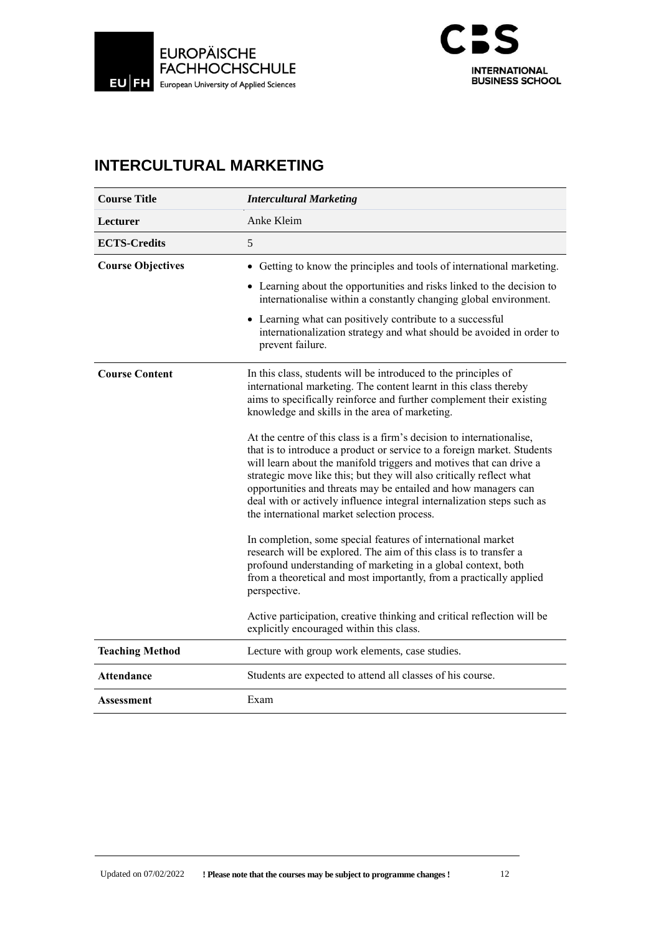



# **INTERCULTURAL MARKETING**

| <b>Course Title</b>      | <b>Intercultural Marketing</b>                                                                                                                                                                                                                                                                                                                                                                                                                                                                                                                                                                                                                                                                                                                                                                                                                                                                                                                                                                                                                                                                                                                                                   |
|--------------------------|----------------------------------------------------------------------------------------------------------------------------------------------------------------------------------------------------------------------------------------------------------------------------------------------------------------------------------------------------------------------------------------------------------------------------------------------------------------------------------------------------------------------------------------------------------------------------------------------------------------------------------------------------------------------------------------------------------------------------------------------------------------------------------------------------------------------------------------------------------------------------------------------------------------------------------------------------------------------------------------------------------------------------------------------------------------------------------------------------------------------------------------------------------------------------------|
| Lecturer                 | Anke Kleim                                                                                                                                                                                                                                                                                                                                                                                                                                                                                                                                                                                                                                                                                                                                                                                                                                                                                                                                                                                                                                                                                                                                                                       |
| <b>ECTS-Credits</b>      | 5                                                                                                                                                                                                                                                                                                                                                                                                                                                                                                                                                                                                                                                                                                                                                                                                                                                                                                                                                                                                                                                                                                                                                                                |
| <b>Course Objectives</b> | • Getting to know the principles and tools of international marketing.<br>• Learning about the opportunities and risks linked to the decision to<br>internationalise within a constantly changing global environment.<br>• Learning what can positively contribute to a successful<br>internationalization strategy and what should be avoided in order to<br>prevent failure.                                                                                                                                                                                                                                                                                                                                                                                                                                                                                                                                                                                                                                                                                                                                                                                                   |
| <b>Course Content</b>    | In this class, students will be introduced to the principles of<br>international marketing. The content learnt in this class thereby<br>aims to specifically reinforce and further complement their existing<br>knowledge and skills in the area of marketing.<br>At the centre of this class is a firm's decision to internationalise,<br>that is to introduce a product or service to a foreign market. Students<br>will learn about the manifold triggers and motives that can drive a<br>strategic move like this; but they will also critically reflect what<br>opportunities and threats may be entailed and how managers can<br>deal with or actively influence integral internalization steps such as<br>the international market selection process.<br>In completion, some special features of international market<br>research will be explored. The aim of this class is to transfer a<br>profound understanding of marketing in a global context, both<br>from a theoretical and most importantly, from a practically applied<br>perspective.<br>Active participation, creative thinking and critical reflection will be<br>explicitly encouraged within this class. |
| <b>Teaching Method</b>   | Lecture with group work elements, case studies.                                                                                                                                                                                                                                                                                                                                                                                                                                                                                                                                                                                                                                                                                                                                                                                                                                                                                                                                                                                                                                                                                                                                  |
| Attendance               | Students are expected to attend all classes of his course.                                                                                                                                                                                                                                                                                                                                                                                                                                                                                                                                                                                                                                                                                                                                                                                                                                                                                                                                                                                                                                                                                                                       |
| Assessment               | Exam                                                                                                                                                                                                                                                                                                                                                                                                                                                                                                                                                                                                                                                                                                                                                                                                                                                                                                                                                                                                                                                                                                                                                                             |